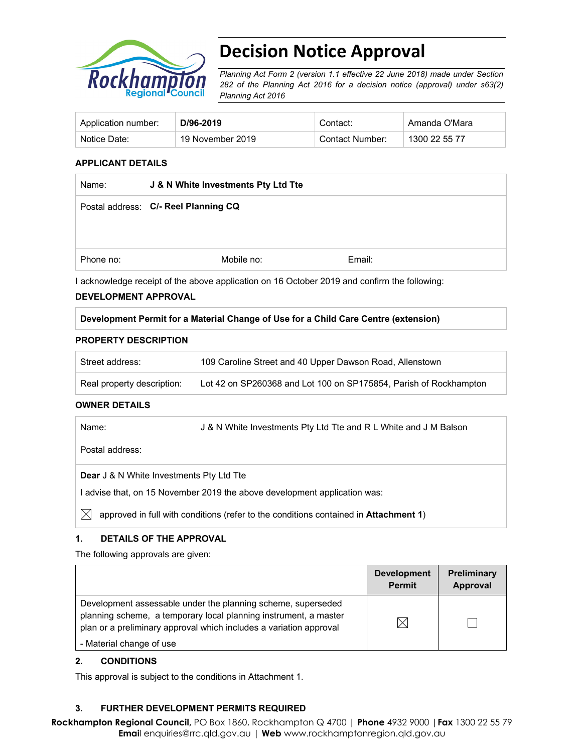

# **Decision Notice Approval**

*Planning Act Form 2 (version 1.1 effective 22 June 2018) made under Section 282 of the Planning Act 2016 for a decision notice (approval) under s63(2) Planning Act 2016*

| Application number: | D/96-2019        | Contact:        | Amanda O'Mara |
|---------------------|------------------|-----------------|---------------|
| Notice Date:        | 19 November 2019 | Contact Number: | 1300 22 55 77 |

### **APPLICANT DETAILS**

| Name:     | J & N White Investments Pty Ltd Tte  |        |  |
|-----------|--------------------------------------|--------|--|
|           | Postal address: C/- Reel Planning CQ |        |  |
|           |                                      |        |  |
|           |                                      |        |  |
| Phone no: | Mobile no:                           | Email: |  |

I acknowledge receipt of the above application on 16 October 2019 and confirm the following:

#### **DEVELOPMENT APPROVAL**

#### **Development Permit for a Material Change of Use for a Child Care Centre (extension)**

#### **PROPERTY DESCRIPTION**

| Street address:            | 109 Caroline Street and 40 Upper Dawson Road, Allenstown          |  |
|----------------------------|-------------------------------------------------------------------|--|
| Real property description: | Lot 42 on SP260368 and Lot 100 on SP175854, Parish of Rockhampton |  |

#### **OWNER DETAILS**

| Name: | J & N White Investments Pty Ltd Tte and R L White and J M Balson |
|-------|------------------------------------------------------------------|
|       |                                                                  |

Postal address:

#### **Dear** J & N White Investments Pty Ltd Tte

I advise that, on 15 November 2019 the above development application was:

 $\boxtimes$  approved in full with conditions (refer to the conditions contained in **Attachment 1**)

#### **1. DETAILS OF THE APPROVAL**

The following approvals are given:

|                                                                                                                                                                                                        | <b>Development</b><br><b>Permit</b> | <b>Preliminary</b><br>Approval |
|--------------------------------------------------------------------------------------------------------------------------------------------------------------------------------------------------------|-------------------------------------|--------------------------------|
| Development assessable under the planning scheme, superseded<br>planning scheme, a temporary local planning instrument, a master<br>plan or a preliminary approval which includes a variation approval | $\boxtimes$                         |                                |
| - Material change of use                                                                                                                                                                               |                                     |                                |

#### **2. CONDITIONS**

This approval is subject to the conditions in Attachment 1.

# **3. FURTHER DEVELOPMENT PERMITS REQUIRED**

**Rockhampton Regional Council,** PO Box 1860, Rockhampton Q 4700 | **Phone** 4932 9000 |**Fax** 1300 22 55 79 **Emai**l enquiries@rrc.qld.gov.au | **Web** www.rockhamptonregion.qld.gov.au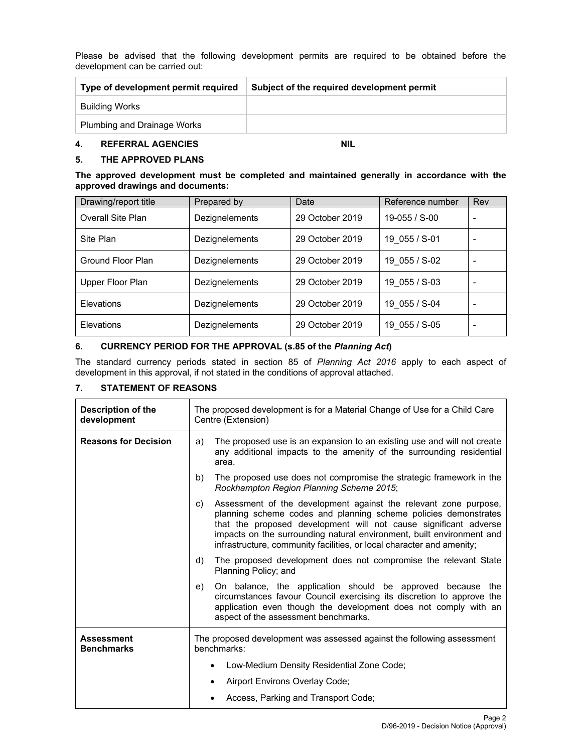Please be advised that the following development permits are required to be obtained before the development can be carried out:

| Type of development permit required | Subject of the required development permit |
|-------------------------------------|--------------------------------------------|
| Building Works                      |                                            |
| Plumbing and Drainage Works         |                                            |

### **4. REFERRAL AGENCIES NIL**

# **5. THE APPROVED PLANS**

#### **The approved development must be completed and maintained generally in accordance with the approved drawings and documents:**

| Drawing/report title     | Prepared by    | Date            | Reference number | Rev |
|--------------------------|----------------|-----------------|------------------|-----|
| <b>Overall Site Plan</b> | Dezignelements | 29 October 2019 | 19-055 / S-00    |     |
| Site Plan                | Dezignelements | 29 October 2019 | 19 055 / S-01    |     |
| Ground Floor Plan        | Dezignelements | 29 October 2019 | 19 055 / S-02    |     |
| Upper Floor Plan         | Dezignelements | 29 October 2019 | 19 055 / S-03    |     |
| Elevations               | Dezignelements | 29 October 2019 | 19 055 / S-04    |     |
| Elevations               | Dezignelements | 29 October 2019 | 19 055 / S-05    |     |

# **6. CURRENCY PERIOD FOR THE APPROVAL (s.85 of the** *Planning Act***)**

The standard currency periods stated in section 85 of *Planning Act 2016* apply to each aspect of development in this approval, if not stated in the conditions of approval attached.

# **7. STATEMENT OF REASONS**

| Description of the<br>development      | The proposed development is for a Material Change of Use for a Child Care<br>Centre (Extension)                                                                                                                                                                                                                                                                 |  |  |
|----------------------------------------|-----------------------------------------------------------------------------------------------------------------------------------------------------------------------------------------------------------------------------------------------------------------------------------------------------------------------------------------------------------------|--|--|
| <b>Reasons for Decision</b>            | The proposed use is an expansion to an existing use and will not create<br>a)<br>any additional impacts to the amenity of the surrounding residential<br>area.                                                                                                                                                                                                  |  |  |
|                                        | b)<br>The proposed use does not compromise the strategic framework in the<br>Rockhampton Region Planning Scheme 2015;                                                                                                                                                                                                                                           |  |  |
|                                        | Assessment of the development against the relevant zone purpose,<br>C)<br>planning scheme codes and planning scheme policies demonstrates<br>that the proposed development will not cause significant adverse<br>impacts on the surrounding natural environment, built environment and<br>infrastructure, community facilities, or local character and amenity; |  |  |
|                                        | The proposed development does not compromise the relevant State<br>d)<br>Planning Policy; and                                                                                                                                                                                                                                                                   |  |  |
|                                        | On balance, the application should be approved because the<br>e)<br>circumstances favour Council exercising its discretion to approve the<br>application even though the development does not comply with an<br>aspect of the assessment benchmarks.                                                                                                            |  |  |
| <b>Assessment</b><br><b>Benchmarks</b> | The proposed development was assessed against the following assessment<br>benchmarks:                                                                                                                                                                                                                                                                           |  |  |
|                                        | Low-Medium Density Residential Zone Code;<br>$\bullet$                                                                                                                                                                                                                                                                                                          |  |  |
|                                        | Airport Environs Overlay Code;<br>٠                                                                                                                                                                                                                                                                                                                             |  |  |
|                                        | Access, Parking and Transport Code;                                                                                                                                                                                                                                                                                                                             |  |  |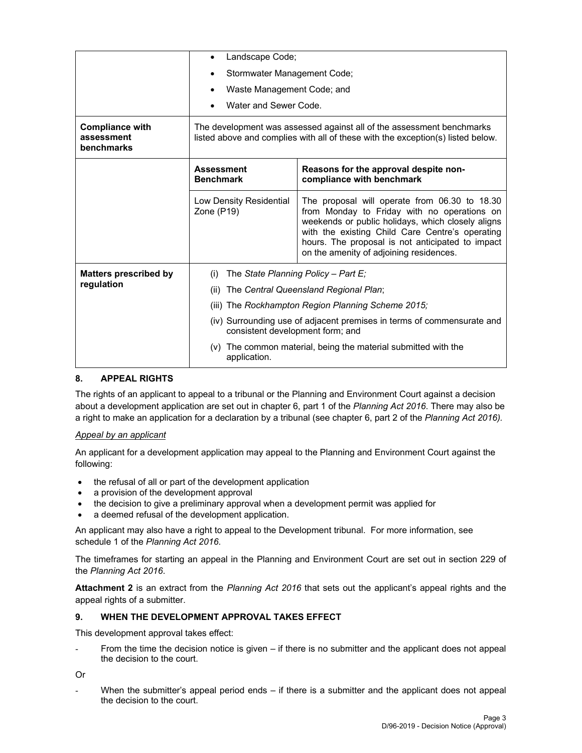|                                                    | $\bullet$                                                                                                                                                                                                                                                                                                                                    | Landscape Code;                       |  |  |  |
|----------------------------------------------------|----------------------------------------------------------------------------------------------------------------------------------------------------------------------------------------------------------------------------------------------------------------------------------------------------------------------------------------------|---------------------------------------|--|--|--|
|                                                    | Stormwater Management Code;                                                                                                                                                                                                                                                                                                                  |                                       |  |  |  |
|                                                    |                                                                                                                                                                                                                                                                                                                                              | Waste Management Code; and            |  |  |  |
|                                                    | Water and Sewer Code.                                                                                                                                                                                                                                                                                                                        |                                       |  |  |  |
| <b>Compliance with</b><br>assessment<br>benchmarks | The development was assessed against all of the assessment benchmarks<br>listed above and complies with all of these with the exception(s) listed below.                                                                                                                                                                                     |                                       |  |  |  |
|                                                    | Reasons for the approval despite non-<br><b>Assessment</b><br><b>Benchmark</b><br>compliance with benchmark                                                                                                                                                                                                                                  |                                       |  |  |  |
|                                                    | The proposal will operate from 06.30 to 18.30<br>Low Density Residential<br>from Monday to Friday with no operations on<br>Zone (P19)<br>weekends or public holidays, which closely aligns<br>with the existing Child Care Centre's operating<br>hours. The proposal is not anticipated to impact<br>on the amenity of adjoining residences. |                                       |  |  |  |
| <b>Matters prescribed by</b>                       | (i)                                                                                                                                                                                                                                                                                                                                          | The State Planning Policy - Part E;   |  |  |  |
| regulation                                         | (ii)                                                                                                                                                                                                                                                                                                                                         | The Central Queensland Regional Plan; |  |  |  |
|                                                    | (iii) The Rockhampton Region Planning Scheme 2015;                                                                                                                                                                                                                                                                                           |                                       |  |  |  |
|                                                    | (iv) Surrounding use of adjacent premises in terms of commensurate and<br>consistent development form; and                                                                                                                                                                                                                                   |                                       |  |  |  |
|                                                    | (v) The common material, being the material submitted with the<br>application.                                                                                                                                                                                                                                                               |                                       |  |  |  |

# **8. APPEAL RIGHTS**

The rights of an applicant to appeal to a tribunal or the Planning and Environment Court against a decision about a development application are set out in chapter 6, part 1 of the *Planning Act 2016*. There may also be a right to make an application for a declaration by a tribunal (see chapter 6, part 2 of the *Planning Act 2016).*

#### *Appeal by an applicant*

An applicant for a development application may appeal to the Planning and Environment Court against the following:

- the refusal of all or part of the development application
- a provision of the development approval
- the decision to give a preliminary approval when a development permit was applied for
- a deemed refusal of the development application.

An applicant may also have a right to appeal to the Development tribunal. For more information, see schedule 1 of the *Planning Act 2016*.

The timeframes for starting an appeal in the Planning and Environment Court are set out in section 229 of the *Planning Act 2016*.

**Attachment 2** is an extract from the *Planning Act 2016* that sets out the applicant's appeal rights and the appeal rights of a submitter.

#### **9. WHEN THE DEVELOPMENT APPROVAL TAKES EFFECT**

This development approval takes effect:

From the time the decision notice is given  $-$  if there is no submitter and the applicant does not appeal the decision to the court.

Or

When the submitter's appeal period ends  $-$  if there is a submitter and the applicant does not appeal the decision to the court.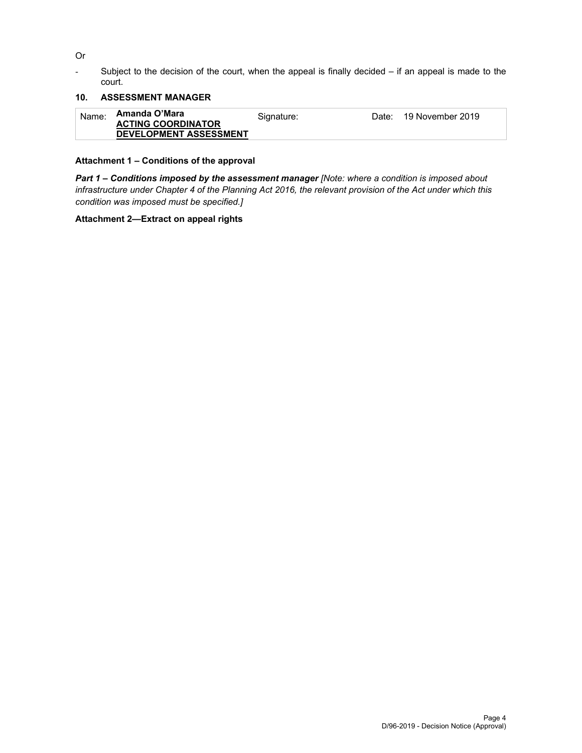Or

- Subject to the decision of the court, when the appeal is finally decided – if an appeal is made to the court.

# **10. ASSESSMENT MANAGER**

| Name: | Amanda O'Mara<br><b>ACTING COORDINATOR</b> | Signature: | Date: 19 November 2019 |
|-------|--------------------------------------------|------------|------------------------|
|       | <b>DEVELOPMENT ASSESSMENT</b>              |            |                        |

# **Attachment 1 – Conditions of the approval**

*Part 1* **–** *Conditions imposed by the assessment manager [Note: where a condition is imposed about infrastructure under Chapter 4 of the Planning Act 2016, the relevant provision of the Act under which this condition was imposed must be specified.]*

# **Attachment 2—Extract on appeal rights**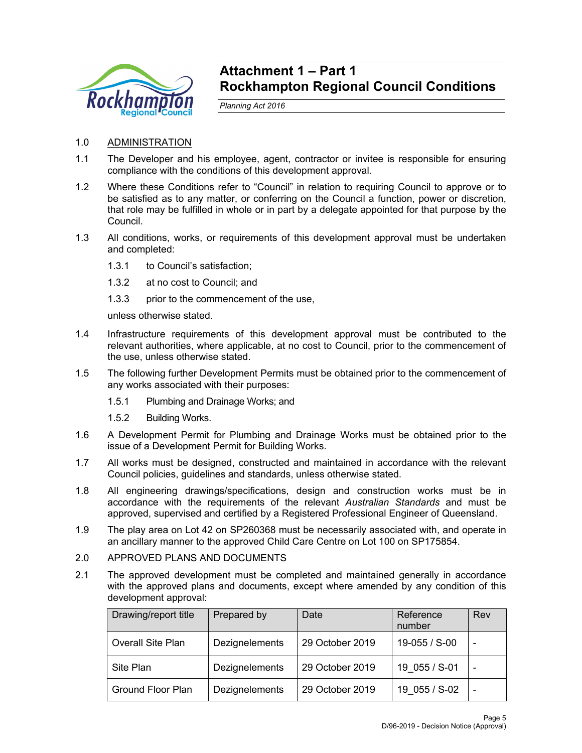

# **Attachment 1 – Part 1 Rockhampton Regional Council Conditions**

*Planning Act 2016* 

- 1.0 ADMINISTRATION
- 1.1 The Developer and his employee, agent, contractor or invitee is responsible for ensuring compliance with the conditions of this development approval.
- 1.2 Where these Conditions refer to "Council" in relation to requiring Council to approve or to be satisfied as to any matter, or conferring on the Council a function, power or discretion, that role may be fulfilled in whole or in part by a delegate appointed for that purpose by the Council.
- 1.3 All conditions, works, or requirements of this development approval must be undertaken and completed:
	- 1.3.1 to Council's satisfaction;
	- 1.3.2 at no cost to Council; and
	- 1.3.3 prior to the commencement of the use,

unless otherwise stated.

- 1.4 Infrastructure requirements of this development approval must be contributed to the relevant authorities, where applicable, at no cost to Council, prior to the commencement of the use, unless otherwise stated.
- 1.5 The following further Development Permits must be obtained prior to the commencement of any works associated with their purposes:
	- 1.5.1 Plumbing and Drainage Works; and
	- 1.5.2 Building Works.
- 1.6 A Development Permit for Plumbing and Drainage Works must be obtained prior to the issue of a Development Permit for Building Works.
- 1.7 All works must be designed, constructed and maintained in accordance with the relevant Council policies, guidelines and standards, unless otherwise stated.
- 1.8 All engineering drawings/specifications, design and construction works must be in accordance with the requirements of the relevant *Australian Standards* and must be approved, supervised and certified by a Registered Professional Engineer of Queensland.
- 1.9 The play area on Lot 42 on SP260368 must be necessarily associated with, and operate in an ancillary manner to the approved Child Care Centre on Lot 100 on SP175854.
- 2.0 APPROVED PLANS AND DOCUMENTS
- 2.1 The approved development must be completed and maintained generally in accordance with the approved plans and documents, except where amended by any condition of this development approval:

| Drawing/report title     | Prepared by    | Date            | Reference<br>number | Rev |
|--------------------------|----------------|-----------------|---------------------|-----|
| <b>Overall Site Plan</b> | Dezignelements | 29 October 2019 | 19-055 / S-00       |     |
| Site Plan                | Dezignelements | 29 October 2019 | 19 055 / S-01       |     |
| Ground Floor Plan        | Dezignelements | 29 October 2019 | 19 055 / S-02       |     |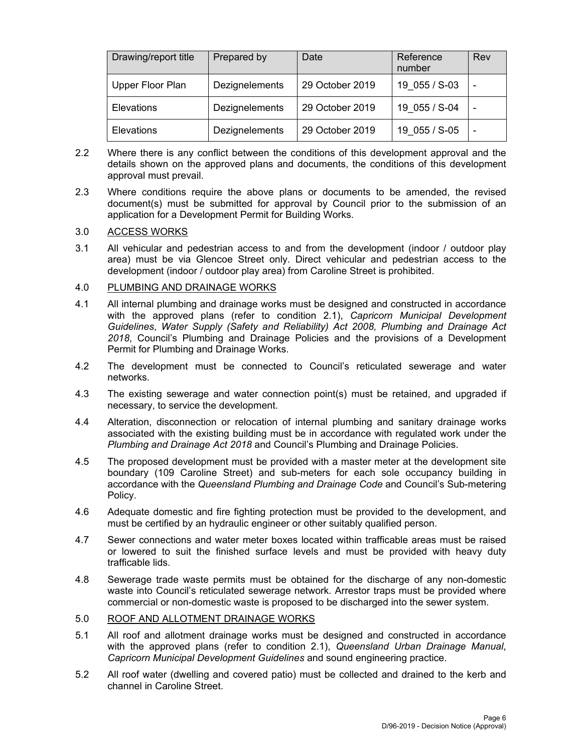| Drawing/report title | Prepared by    | Date            | Reference<br>number | Rev |
|----------------------|----------------|-----------------|---------------------|-----|
| Upper Floor Plan     | Dezignelements | 29 October 2019 | 19 055 / S-03       |     |
| Elevations           | Dezignelements | 29 October 2019 | 19 055 / S-04       |     |
| Elevations           | Dezignelements | 29 October 2019 | 19 055 / S-05       |     |

- 2.2 Where there is any conflict between the conditions of this development approval and the details shown on the approved plans and documents, the conditions of this development approval must prevail.
- 2.3 Where conditions require the above plans or documents to be amended, the revised document(s) must be submitted for approval by Council prior to the submission of an application for a Development Permit for Building Works.

# 3.0 ACCESS WORKS

3.1 All vehicular and pedestrian access to and from the development (indoor / outdoor play area) must be via Glencoe Street only. Direct vehicular and pedestrian access to the development (indoor / outdoor play area) from Caroline Street is prohibited.

# 4.0 PLUMBING AND DRAINAGE WORKS

- 4.1 All internal plumbing and drainage works must be designed and constructed in accordance with the approved plans (refer to condition 2.1), *Capricorn Municipal Development Guidelines*, *Water Supply (Safety and Reliability) Act 2008, Plumbing and Drainage Act 2018*, Council's Plumbing and Drainage Policies and the provisions of a Development Permit for Plumbing and Drainage Works.
- 4.2 The development must be connected to Council's reticulated sewerage and water networks.
- 4.3 The existing sewerage and water connection point(s) must be retained, and upgraded if necessary, to service the development.
- 4.4 Alteration, disconnection or relocation of internal plumbing and sanitary drainage works associated with the existing building must be in accordance with regulated work under the *Plumbing and Drainage Act 2018* and Council's Plumbing and Drainage Policies.
- 4.5 The proposed development must be provided with a master meter at the development site boundary (109 Caroline Street) and sub-meters for each sole occupancy building in accordance with the *Queensland Plumbing and Drainage Code* and Council's Sub-metering Policy.
- 4.6 Adequate domestic and fire fighting protection must be provided to the development, and must be certified by an hydraulic engineer or other suitably qualified person.
- 4.7 Sewer connections and water meter boxes located within trafficable areas must be raised or lowered to suit the finished surface levels and must be provided with heavy duty trafficable lids.
- 4.8 Sewerage trade waste permits must be obtained for the discharge of any non-domestic waste into Council's reticulated sewerage network. Arrestor traps must be provided where commercial or non-domestic waste is proposed to be discharged into the sewer system.

# 5.0 ROOF AND ALLOTMENT DRAINAGE WORKS

- 5.1 All roof and allotment drainage works must be designed and constructed in accordance with the approved plans (refer to condition 2.1), *Queensland Urban Drainage Manual*, *Capricorn Municipal Development Guidelines* and sound engineering practice.
- 5.2 All roof water (dwelling and covered patio) must be collected and drained to the kerb and channel in Caroline Street.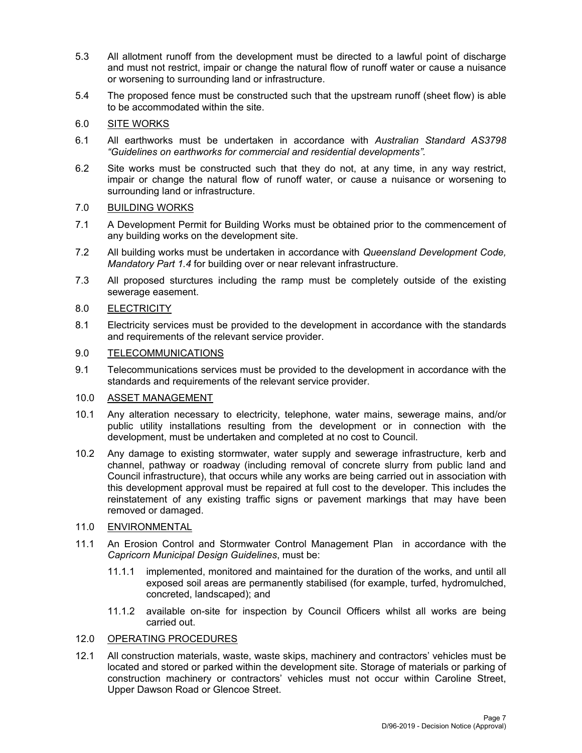- 5.3 All allotment runoff from the development must be directed to a lawful point of discharge and must not restrict, impair or change the natural flow of runoff water or cause a nuisance or worsening to surrounding land or infrastructure.
- 5.4 The proposed fence must be constructed such that the upstream runoff (sheet flow) is able to be accommodated within the site.

# 6.0 SITE WORKS

- 6.1 All earthworks must be undertaken in accordance with *Australian Standard AS3798 "Guidelines on earthworks for commercial and residential developments".*
- 6.2 Site works must be constructed such that they do not, at any time, in any way restrict, impair or change the natural flow of runoff water, or cause a nuisance or worsening to surrounding land or infrastructure.

# 7.0 BUILDING WORKS

- 7.1 A Development Permit for Building Works must be obtained prior to the commencement of any building works on the development site.
- 7.2 All building works must be undertaken in accordance with *Queensland Development Code, Mandatory Part 1.4* for building over or near relevant infrastructure.
- 7.3 All proposed sturctures including the ramp must be completely outside of the existing sewerage easement.

# 8.0 ELECTRICITY

8.1 Electricity services must be provided to the development in accordance with the standards and requirements of the relevant service provider.

# 9.0 TELECOMMUNICATIONS

9.1 Telecommunications services must be provided to the development in accordance with the standards and requirements of the relevant service provider.

# 10.0 ASSET MANAGEMENT

- 10.1 Any alteration necessary to electricity, telephone, water mains, sewerage mains, and/or public utility installations resulting from the development or in connection with the development, must be undertaken and completed at no cost to Council.
- 10.2 Any damage to existing stormwater, water supply and sewerage infrastructure, kerb and channel, pathway or roadway (including removal of concrete slurry from public land and Council infrastructure), that occurs while any works are being carried out in association with this development approval must be repaired at full cost to the developer. This includes the reinstatement of any existing traffic signs or pavement markings that may have been removed or damaged.

# 11.0 ENVIRONMENTAL

- 11.1 An Erosion Control and Stormwater Control Management Plan in accordance with the *Capricorn Municipal Design Guidelines*, must be:
	- 11.1.1 implemented, monitored and maintained for the duration of the works, and until all exposed soil areas are permanently stabilised (for example, turfed, hydromulched, concreted, landscaped); and
	- 11.1.2 available on-site for inspection by Council Officers whilst all works are being carried out.

# 12.0 OPERATING PROCEDURES

12.1 All construction materials, waste, waste skips, machinery and contractors' vehicles must be located and stored or parked within the development site. Storage of materials or parking of construction machinery or contractors' vehicles must not occur within Caroline Street, Upper Dawson Road or Glencoe Street.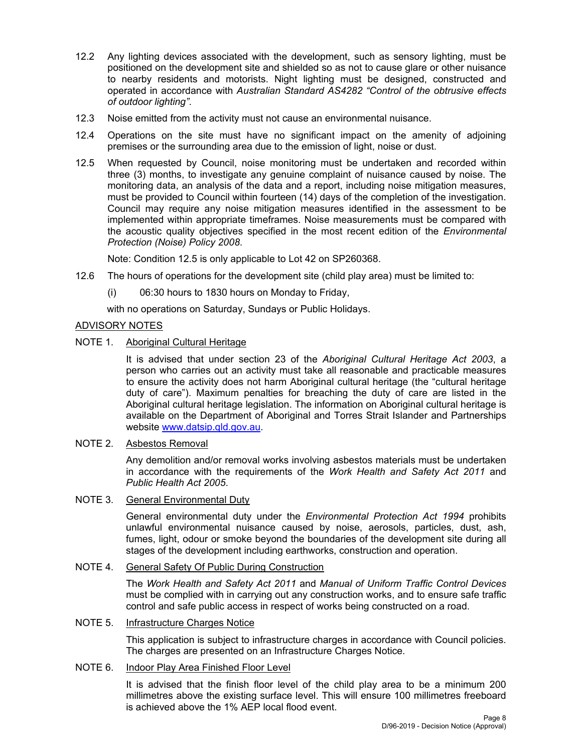- 12.2 Any lighting devices associated with the development, such as sensory lighting, must be positioned on the development site and shielded so as not to cause glare or other nuisance to nearby residents and motorists. Night lighting must be designed, constructed and operated in accordance with *Australian Standard AS4282 "Control of the obtrusive effects of outdoor lighting"*.
- 12.3 Noise emitted from the activity must not cause an environmental nuisance.
- 12.4 Operations on the site must have no significant impact on the amenity of adjoining premises or the surrounding area due to the emission of light, noise or dust.
- 12.5 When requested by Council, noise monitoring must be undertaken and recorded within three (3) months, to investigate any genuine complaint of nuisance caused by noise. The monitoring data, an analysis of the data and a report, including noise mitigation measures, must be provided to Council within fourteen (14) days of the completion of the investigation. Council may require any noise mitigation measures identified in the assessment to be implemented within appropriate timeframes. Noise measurements must be compared with the acoustic quality objectives specified in the most recent edition of the *Environmental Protection (Noise) Policy 2008*.

Note: Condition 12.5 is only applicable to Lot 42 on SP260368.

- 12.6 The hours of operations for the development site (child play area) must be limited to:
	- (i) 06:30 hours to 1830 hours on Monday to Friday,

with no operations on Saturday, Sundays or Public Holidays.

# ADVISORY NOTES

NOTE 1. Aboriginal Cultural Heritage

It is advised that under section 23 of the *Aboriginal Cultural Heritage Act 2003*, a person who carries out an activity must take all reasonable and practicable measures to ensure the activity does not harm Aboriginal cultural heritage (the "cultural heritage duty of care"). Maximum penalties for breaching the duty of care are listed in the Aboriginal cultural heritage legislation. The information on Aboriginal cultural heritage is available on the Department of Aboriginal and Torres Strait Islander and Partnerships website www.datsip.qld.gov.au.

#### NOTE 2. Asbestos Removal

Any demolition and/or removal works involving asbestos materials must be undertaken in accordance with the requirements of the *Work Health and Safety Act 2011* and *Public Health Act 2005*.

# NOTE 3. General Environmental Duty

General environmental duty under the *Environmental Protection Act 1994* prohibits unlawful environmental nuisance caused by noise, aerosols, particles, dust, ash, fumes, light, odour or smoke beyond the boundaries of the development site during all stages of the development including earthworks, construction and operation.

#### NOTE 4. General Safety Of Public During Construction

The *Work Health and Safety Act 2011* and *Manual of Uniform Traffic Control Devices* must be complied with in carrying out any construction works, and to ensure safe traffic control and safe public access in respect of works being constructed on a road.

### NOTE 5. Infrastructure Charges Notice

This application is subject to infrastructure charges in accordance with Council policies. The charges are presented on an Infrastructure Charges Notice.

#### NOTE 6. Indoor Play Area Finished Floor Level

It is advised that the finish floor level of the child play area to be a minimum 200 millimetres above the existing surface level. This will ensure 100 millimetres freeboard is achieved above the 1% AEP local flood event.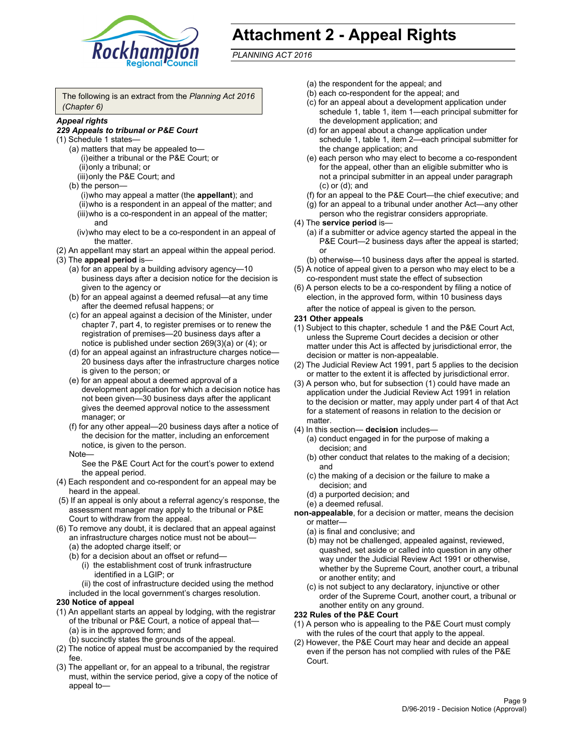

# **Attachment 2 - Appeal Rights**

*PLANNING ACT 2016*

The following is an extract from the *Planning Act 2016 (Chapter 6)*

### *Appeal rights*

#### *229 Appeals to tribunal or P&E Court*

- (1) Schedule 1 states—
	- (a) matters that may be appealed to— (i) either a tribunal or the P&E Court; or (ii) only a tribunal; or (iii) only the P&E Court; and
	- (b) the person—
		- (i) who may appeal a matter (the **appellant**); and
		- (ii) who is a respondent in an appeal of the matter; and (iii) who is a co-respondent in an appeal of the matter; and
		- (iv) who may elect to be a co-respondent in an appeal of the matter.
- (2) An appellant may start an appeal within the appeal period.
- (3) The **appeal period** is—
	- (a) for an appeal by a building advisory agency—10 business days after a decision notice for the decision is given to the agency or
	- (b) for an appeal against a deemed refusal—at any time after the deemed refusal happens; or
	- (c) for an appeal against a decision of the Minister, under chapter 7, part 4, to register premises or to renew the registration of premises—20 business days after a notice is published under section 269(3)(a) or (4); or
	- (d) for an appeal against an infrastructure charges notice— 20 business days after the infrastructure charges notice is given to the person; or
	- (e) for an appeal about a deemed approval of a development application for which a decision notice has not been given—30 business days after the applicant gives the deemed approval notice to the assessment manager; or
	- (f) for any other appeal—20 business days after a notice of the decision for the matter, including an enforcement notice, is given to the person.

#### Note—

See the P&E Court Act for the court's power to extend the appeal period.

- (4) Each respondent and co-respondent for an appeal may be heard in the appeal.
- (5) If an appeal is only about a referral agency's response, the assessment manager may apply to the tribunal or P&E Court to withdraw from the appeal.
- (6) To remove any doubt, it is declared that an appeal against an infrastructure charges notice must not be about— (a) the adopted charge itself; or
	- (b) for a decision about an offset or refund—
		- (i) the establishment cost of trunk infrastructure identified in a LGIP; or
		- (ii) the cost of infrastructure decided using the method
	- included in the local government's charges resolution.

#### **230 Notice of appeal**

- (1) An appellant starts an appeal by lodging, with the registrar of the tribunal or P&E Court, a notice of appeal that— (a) is in the approved form; and
	- (b) succinctly states the grounds of the appeal.
- (2) The notice of appeal must be accompanied by the required fee.
- (3) The appellant or, for an appeal to a tribunal, the registrar must, within the service period, give a copy of the notice of appeal to—
- (a) the respondent for the appeal; and
- (b) each co-respondent for the appeal; and
- (c) for an appeal about a development application under schedule 1, table 1, item 1—each principal submitter for the development application; and
- (d) for an appeal about a change application under schedule 1, table 1, item 2—each principal submitter for the change application; and
- (e) each person who may elect to become a co-respondent for the appeal, other than an eligible submitter who is not a principal submitter in an appeal under paragraph (c) or (d); and
- (f) for an appeal to the P&E Court—the chief executive; and
- (g) for an appeal to a tribunal under another Act—any other person who the registrar considers appropriate.
- (4) The **service period** is—
	- (a) if a submitter or advice agency started the appeal in the P&E Court-2 business days after the appeal is started; or
	- (b) otherwise—10 business days after the appeal is started.
- (5) A notice of appeal given to a person who may elect to be a co-respondent must state the effect of subsection
- (6) A person elects to be a co-respondent by filing a notice of election, in the approved form, within 10 business days
	- after the notice of appeal is given to the person*.*
- **231 Other appeals**
- (1) Subject to this chapter, schedule 1 and the P&E Court Act, unless the Supreme Court decides a decision or other matter under this Act is affected by jurisdictional error, the decision or matter is non-appealable.
- (2) The Judicial Review Act 1991, part 5 applies to the decision or matter to the extent it is affected by jurisdictional error.
- (3) A person who, but for subsection (1) could have made an application under the Judicial Review Act 1991 in relation to the decision or matter, may apply under part 4 of that Act for a statement of reasons in relation to the decision or matter.
- (4) In this section— **decision** includes—
	- (a) conduct engaged in for the purpose of making a decision; and
	- (b) other conduct that relates to the making of a decision; and
	- (c) the making of a decision or the failure to make a decision; and
	- (d) a purported decision; and
	- (e) a deemed refusal.

**non-appealable**, for a decision or matter, means the decision or matter—

- (a) is final and conclusive; and
- (b) may not be challenged, appealed against, reviewed, quashed, set aside or called into question in any other way under the Judicial Review Act 1991 or otherwise, whether by the Supreme Court, another court, a tribunal or another entity; and
- (c) is not subject to any declaratory, injunctive or other order of the Supreme Court, another court, a tribunal or another entity on any ground.

#### **232 Rules of the P&E Court**

- (1) A person who is appealing to the P&E Court must comply with the rules of the court that apply to the appeal.
- (2) However, the P&E Court may hear and decide an appeal even if the person has not complied with rules of the P&E Court.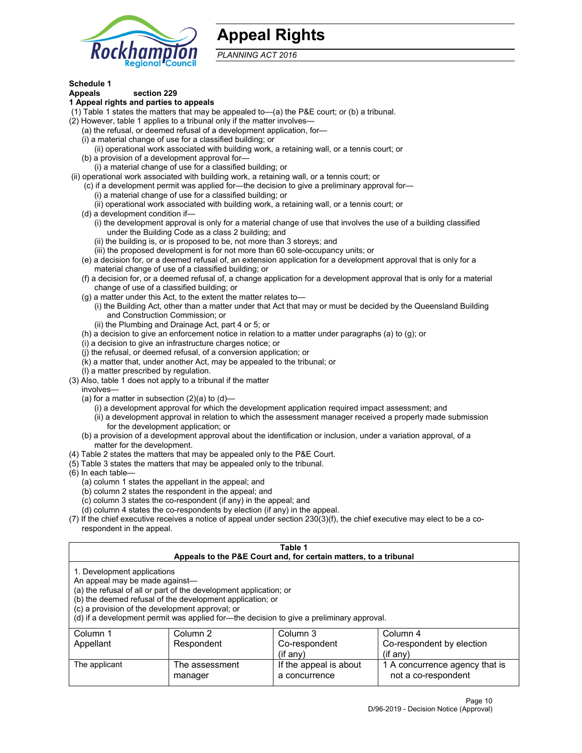

# **Appeal Rights**

*PLANNING ACT 2016*

# **Schedule 1**

# **Appeals section 229**

- **1 Appeal rights and parties to appeals**
- (1) Table 1 states the matters that may be appealed to—(a) the P&E court; or (b) a tribunal.
- (2) However, table 1 applies to a tribunal only if the matter involves—
	- (a) the refusal, or deemed refusal of a development application, for—
	- (i) a material change of use for a classified building; or
	- (ii) operational work associated with building work, a retaining wall, or a tennis court; or
	- (b) a provision of a development approval for—
	- (i) a material change of use for a classified building; or
- (ii) operational work associated with building work, a retaining wall, or a tennis court; or
	- (c) if a development permit was applied for—the decision to give a preliminary approval for— (i) a material change of use for a classified building; or
	- (ii) operational work associated with building work, a retaining wall, or a tennis court; or
	- (d) a development condition if—
		- (i) the development approval is only for a material change of use that involves the use of a building classified under the Building Code as a class 2 building; and
		- (ii) the building is, or is proposed to be, not more than 3 storeys; and
		- (iii) the proposed development is for not more than 60 sole-occupancy units; or
	- (e) a decision for, or a deemed refusal of, an extension application for a development approval that is only for a material change of use of a classified building; or
	- (f) a decision for, or a deemed refusal of, a change application for a development approval that is only for a material change of use of a classified building; or
	- (g) a matter under this Act, to the extent the matter relates to—
		- (i) the Building Act, other than a matter under that Act that may or must be decided by the Queensland Building and Construction Commission; or
		- (ii) the Plumbing and Drainage Act, part 4 or 5; or
	- (h) a decision to give an enforcement notice in relation to a matter under paragraphs (a) to (g); or
	- (i) a decision to give an infrastructure charges notice; or
	- (j) the refusal, or deemed refusal, of a conversion application; or
	- (k) a matter that, under another Act, may be appealed to the tribunal; or
	- (l) a matter prescribed by regulation.
- (3) Also, table 1 does not apply to a tribunal if the matter
	- involves—
		- (a) for a matter in subsection  $(2)(a)$  to  $(d)$ 
			- (i) a development approval for which the development application required impact assessment; and
			- (ii) a development approval in relation to which the assessment manager received a properly made submission for the development application; or
	- (b) a provision of a development approval about the identification or inclusion, under a variation approval, of a matter for the development.
- (4) Table 2 states the matters that may be appealed only to the P&E Court.
- (5) Table 3 states the matters that may be appealed only to the tribunal.
- (6) In each table—
	- (a) column 1 states the appellant in the appeal; and
	- (b) column 2 states the respondent in the appeal; and
	- (c) column 3 states the co-respondent (if any) in the appeal; and
	- (d) column 4 states the co-respondents by election (if any) in the appeal.
- (7) If the chief executive receives a notice of appeal under section 230(3)(f), the chief executive may elect to be a corespondent in the appeal.

| Table 1<br>Appeals to the P&E Court and, for certain matters, to a tribunal                                      |                                                                                                                                |                                                                                          |                                                       |  |
|------------------------------------------------------------------------------------------------------------------|--------------------------------------------------------------------------------------------------------------------------------|------------------------------------------------------------------------------------------|-------------------------------------------------------|--|
| 1. Development applications<br>An appeal may be made against-<br>(c) a provision of the development approval; or | (a) the refusal of all or part of the development application; or<br>(b) the deemed refusal of the development application; or | (d) if a development permit was applied for—the decision to give a preliminary approval. |                                                       |  |
| Column 1<br>Column 2<br>Column 3<br>Column 4                                                                     |                                                                                                                                |                                                                                          |                                                       |  |
| Appellant                                                                                                        | Respondent                                                                                                                     | Co-respondent<br>$(i$ f anv $)$                                                          | Co-respondent by election<br>(if any)                 |  |
| The applicant                                                                                                    | The assessment<br>manager                                                                                                      | If the appeal is about<br>a concurrence                                                  | 1 A concurrence agency that is<br>not a co-respondent |  |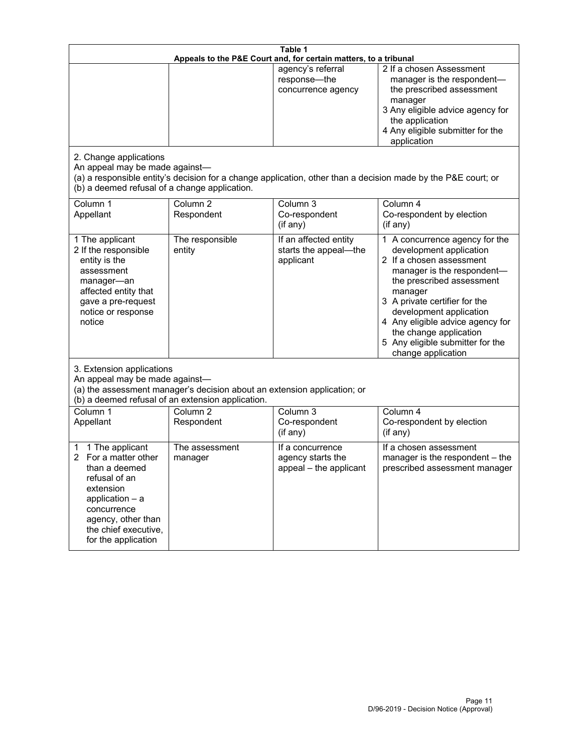| Table 1<br>Appeals to the P&E Court and, for certain matters, to a tribunal                                                                                                                        |                                     |                                                                 |                                                                                                                                                                                                                                                                                                                                                 |
|----------------------------------------------------------------------------------------------------------------------------------------------------------------------------------------------------|-------------------------------------|-----------------------------------------------------------------|-------------------------------------------------------------------------------------------------------------------------------------------------------------------------------------------------------------------------------------------------------------------------------------------------------------------------------------------------|
| 2. Change applications<br>An appeal may be made against-                                                                                                                                           |                                     | agency's referral<br>response-the<br>concurrence agency         | 2 If a chosen Assessment<br>manager is the respondent-<br>the prescribed assessment<br>manager<br>3 Any eligible advice agency for<br>the application<br>4 Any eligible submitter for the<br>application<br>(a) a responsible entity's decision for a change application, other than a decision made by the P&E court; or                       |
| (b) a deemed refusal of a change application.<br>Column 1<br>Appellant                                                                                                                             | Column $\overline{2}$<br>Respondent | Column 3<br>Co-respondent<br>(if any)                           | Column 4<br>Co-respondent by election<br>(i f any)                                                                                                                                                                                                                                                                                              |
| 1 The applicant<br>2 If the responsible<br>entity is the<br>assessment<br>manager-an<br>affected entity that<br>gave a pre-request<br>notice or response<br>notice                                 | The responsible<br>entity           | If an affected entity<br>starts the appeal-the<br>applicant     | 1 A concurrence agency for the<br>development application<br>2 If a chosen assessment<br>manager is the respondent-<br>the prescribed assessment<br>manager<br>3 A private certifier for the<br>development application<br>4 Any eligible advice agency for<br>the change application<br>5 Any eligible submitter for the<br>change application |
| 3. Extension applications<br>An appeal may be made against-<br>(a) the assessment manager's decision about an extension application; or<br>(b) a deemed refusal of an extension application.       |                                     |                                                                 |                                                                                                                                                                                                                                                                                                                                                 |
| Column 1<br>Appellant                                                                                                                                                                              | Column <sub>2</sub><br>Respondent   | Column 3<br>Co-respondent<br>(if any)                           | Column 4<br>Co-respondent by election<br>(if any)                                                                                                                                                                                                                                                                                               |
| 1 The applicant<br>1<br>For a matter other<br>than a deemed<br>refusal of an<br>extension<br>application $-$ a<br>concurrence<br>agency, other than<br>the chief executive,<br>for the application | The assessment<br>manager           | If a concurrence<br>agency starts the<br>appeal - the applicant | If a chosen assessment<br>manager is the respondent - the<br>prescribed assessment manager                                                                                                                                                                                                                                                      |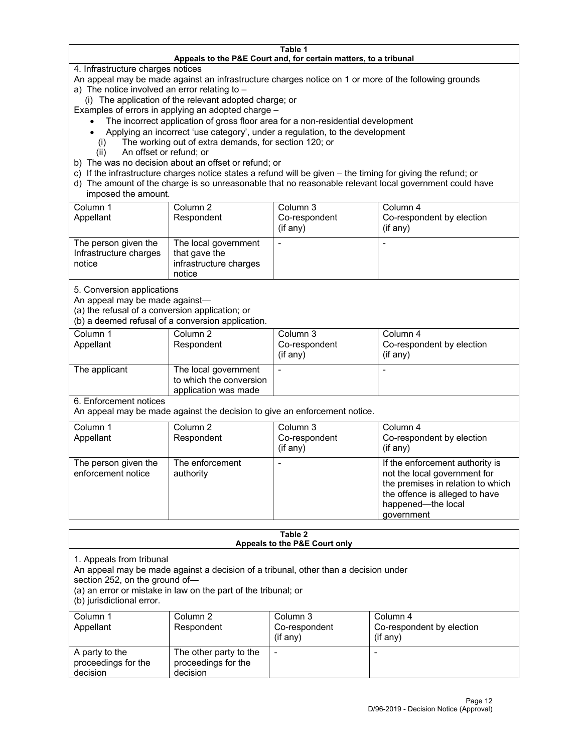#### **Table 1 Appeals to the P&E Court and, for certain matters, to a tribunal**

4. Infrastructure charges notices

An appeal may be made against an infrastructure charges notice on 1 or more of the following grounds

- a) The notice involved an error relating to
	- (i) The application of the relevant adopted charge; or

Examples of errors in applying an adopted charge –

- The incorrect application of gross floor area for a non-residential development
- Applying an incorrect 'use category', under a regulation, to the development
- (i) The working out of extra demands, for section 120; or
- (ii) An offset or refund; or
- b) The was no decision about an offset or refund; or
- c) If the infrastructure charges notice states a refund will be given the timing for giving the refund; or
- d) The amount of the charge is so unreasonable that no reasonable relevant local government could have imposed the amount.

| Column 1<br>Appellant                                    | Column 2<br>Respondent                                                    | Column 3<br>Co-respondent<br>(i f any) | Column 4<br>Co-respondent by election<br>(i f any) |
|----------------------------------------------------------|---------------------------------------------------------------------------|----------------------------------------|----------------------------------------------------|
| The person given the<br>Infrastructure charges<br>notice | The local government<br>that gave the<br>infrastructure charges<br>notice |                                        |                                                    |

5. Conversion applications

An appeal may be made against—

(a) the refusal of a conversion application; or

(b) a deemed refusal of a conversion application.

| Column 1      | Column 2                | Column 3      | Column 4                  |
|---------------|-------------------------|---------------|---------------------------|
| Appellant     | Respondent              | Co-respondent | Co-respondent by election |
|               |                         | $(if$ any)    | (i f any)                 |
| The applicant | The local government    |               |                           |
|               | to which the conversion |               |                           |
|               | application was made    |               |                           |

6. Enforcement notices

An appeal may be made against the decision to give an enforcement notice.

| Column 1<br>Appellant                      | Column 2<br>Respondent       | Column 3<br>Co-respondent<br>(if any) | Column 4<br>Co-respondent by election<br>(i f any)                                                                                                                         |
|--------------------------------------------|------------------------------|---------------------------------------|----------------------------------------------------------------------------------------------------------------------------------------------------------------------------|
| The person given the<br>enforcement notice | The enforcement<br>authority |                                       | If the enforcement authority is<br>not the local government for<br>the premises in relation to which<br>the offence is alleged to have<br>happened-the local<br>government |

#### **Table 2 Appeals to the P&E Court only**

1. Appeals from tribunal

An appeal may be made against a decision of a tribunal, other than a decision under

section 252, on the ground of—

(a) an error or mistake in law on the part of the tribunal; or

(b) jurisdictional error.

| Column 1<br>Appellant                             | Column 2<br>Respondent                                    | Column 3<br>Co-respondent<br>$(if$ any) | Column 4<br>Co-respondent by election<br>$(if$ any) |
|---------------------------------------------------|-----------------------------------------------------------|-----------------------------------------|-----------------------------------------------------|
| A party to the<br>proceedings for the<br>decision | The other party to the<br>proceedings for the<br>decision | $\overline{\phantom{a}}$                |                                                     |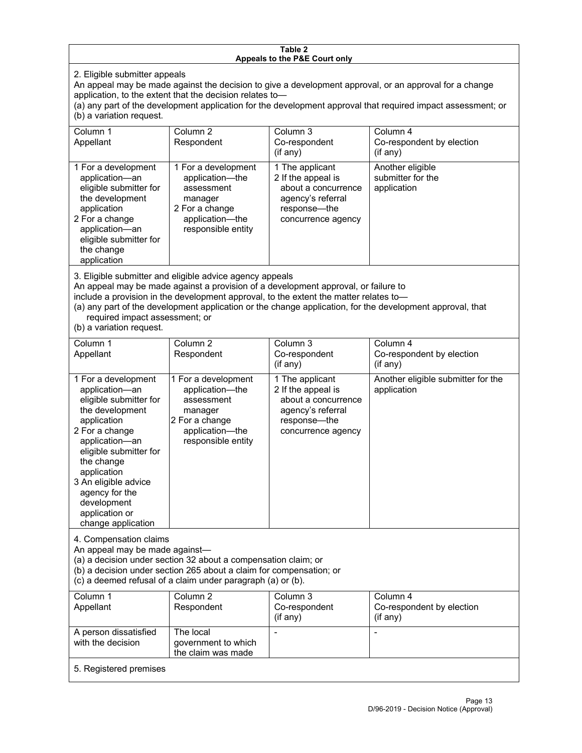#### **Table 2 Appeals to the P&E Court only**

2. Eligible submitter appeals

An appeal may be made against the decision to give a development approval, or an approval for a change application, to the extent that the decision relates to—

(a) any part of the development application for the development approval that required impact assessment; or (b) a variation request.

| Column 1<br>Appellant                                                                                                                                                                        | Column 2<br>Respondent                                                                                                     | Column 3<br>Co-respondent<br>(i f any)                                                                                  | Column 4<br>Co-respondent by election<br>$($ if any $)$ |
|----------------------------------------------------------------------------------------------------------------------------------------------------------------------------------------------|----------------------------------------------------------------------------------------------------------------------------|-------------------------------------------------------------------------------------------------------------------------|---------------------------------------------------------|
| 1 For a development<br>application-an<br>eligible submitter for<br>the development<br>application<br>2 For a change<br>application-an<br>eligible submitter for<br>the change<br>application | 1 For a development<br>application-the<br>assessment<br>manager<br>2 For a change<br>application-the<br>responsible entity | 1 The applicant<br>2 If the appeal is<br>about a concurrence<br>agency's referral<br>response—the<br>concurrence agency | Another eligible<br>submitter for the<br>application    |

3. Eligible submitter and eligible advice agency appeals

An appeal may be made against a provision of a development approval, or failure to

include a provision in the development approval, to the extent the matter relates to—

(a) any part of the development application or the change application, for the development approval, that required impact assessment; or

(b) a variation request.

| Column 1<br>Appellant                                                                                                                                                                                                                                                                         | Column <sub>2</sub><br>Respondent                                                                                          | Column <sub>3</sub><br>Co-respondent<br>(if any)                                                                        | Column 4<br>Co-respondent by election<br>(if any) |
|-----------------------------------------------------------------------------------------------------------------------------------------------------------------------------------------------------------------------------------------------------------------------------------------------|----------------------------------------------------------------------------------------------------------------------------|-------------------------------------------------------------------------------------------------------------------------|---------------------------------------------------|
| 1 For a development<br>application-an<br>eligible submitter for<br>the development<br>application<br>2 For a change<br>application-an<br>eligible submitter for<br>the change<br>application<br>3 An eligible advice<br>agency for the<br>development<br>application or<br>change application | 1 For a development<br>application-the<br>assessment<br>manager<br>2 For a change<br>application-the<br>responsible entity | 1 The applicant<br>2 If the appeal is<br>about a concurrence<br>agency's referral<br>response-the<br>concurrence agency | Another eligible submitter for the<br>application |
| 4. Compensation claims<br>An appeal may be made against-<br>(a) a decision under section 32 about a compensation claim; or<br>(b) a decision under section 265 about a claim for compensation; or<br>(c) a deemed refusal of a claim under paragraph (a) or (b).                              |                                                                                                                            |                                                                                                                         |                                                   |
| Column <sub>1</sub><br>Appellant                                                                                                                                                                                                                                                              | Column <sub>2</sub><br>Respondent                                                                                          | Column <sub>3</sub><br>Co-respondent<br>(if any)                                                                        | Column 4<br>Co-respondent by election<br>(if any) |
| A person dissatisfied<br>with the decision                                                                                                                                                                                                                                                    | The local<br>government to which<br>the claim was made                                                                     | L,                                                                                                                      |                                                   |
| 5. Registered premises                                                                                                                                                                                                                                                                        |                                                                                                                            |                                                                                                                         |                                                   |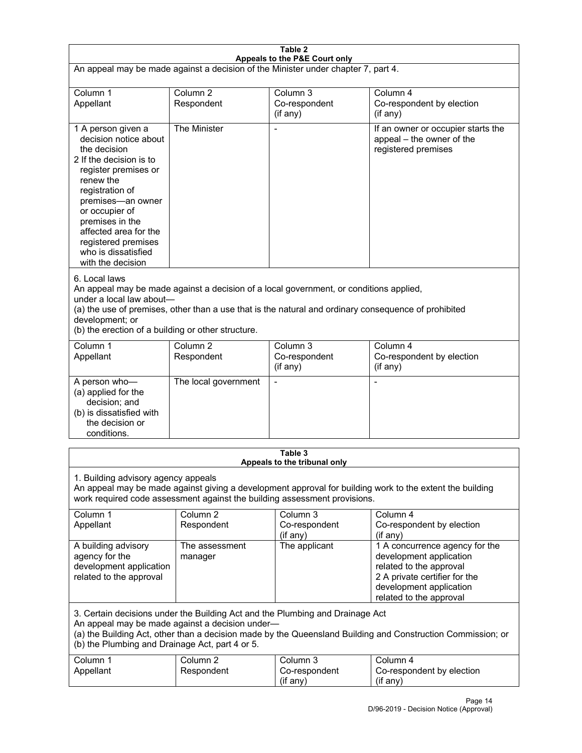| Table 2<br>Appeals to the P&E Court only                                                                                                                                                                                                                                                                             |                                   |                                                  |                                                                                                                                                                             |  |
|----------------------------------------------------------------------------------------------------------------------------------------------------------------------------------------------------------------------------------------------------------------------------------------------------------------------|-----------------------------------|--------------------------------------------------|-----------------------------------------------------------------------------------------------------------------------------------------------------------------------------|--|
| An appeal may be made against a decision of the Minister under chapter 7, part 4.                                                                                                                                                                                                                                    |                                   |                                                  |                                                                                                                                                                             |  |
| Column 1<br>Appellant                                                                                                                                                                                                                                                                                                | Column <sub>2</sub><br>Respondent | Column <sub>3</sub><br>Co-respondent<br>(if any) | Column 4<br>Co-respondent by election<br>(if any)                                                                                                                           |  |
| 1 A person given a<br>decision notice about<br>the decision<br>2 If the decision is to<br>register premises or<br>renew the<br>registration of<br>premises-an owner<br>or occupier of<br>premises in the<br>affected area for the<br>registered premises<br>who is dissatisfied<br>with the decision                 | The Minister                      | Ĭ.                                               | If an owner or occupier starts the<br>appeal - the owner of the<br>registered premises                                                                                      |  |
| 6. Local laws<br>An appeal may be made against a decision of a local government, or conditions applied,<br>under a local law about-<br>(a) the use of premises, other than a use that is the natural and ordinary consequence of prohibited<br>development; or<br>(b) the erection of a building or other structure. |                                   |                                                  |                                                                                                                                                                             |  |
| Column 1<br>Appellant                                                                                                                                                                                                                                                                                                | Column <sub>2</sub><br>Respondent | Column 3<br>Co-respondent<br>(if any)            | Column 4<br>Co-respondent by election<br>(if any)                                                                                                                           |  |
| A person who-<br>(a) applied for the<br>decision; and<br>(b) is dissatisfied with<br>the decision or<br>conditions.                                                                                                                                                                                                  | The local government              | L,                                               | $\overline{a}$                                                                                                                                                              |  |
|                                                                                                                                                                                                                                                                                                                      |                                   | Table 3<br>Appeals to the tribunal only          |                                                                                                                                                                             |  |
| 1. Building advisory agency appeals<br>An appeal may be made against giving a development approval for building work to the extent the building<br>work required code assessment against the building assessment provisions.                                                                                         |                                   |                                                  |                                                                                                                                                                             |  |
| Column 1<br>Appellant                                                                                                                                                                                                                                                                                                | Column <sub>2</sub><br>Respondent | Column 3<br>Co-respondent<br>(if any)            | Column 4<br>Co-respondent by election<br>(if any)                                                                                                                           |  |
| A building advisory<br>agency for the<br>development application<br>related to the approval                                                                                                                                                                                                                          | The assessment<br>manager         | The applicant                                    | 1 A concurrence agency for the<br>development application<br>related to the approval<br>2 A private certifier for the<br>development application<br>related to the approval |  |
| 3. Certain decisions under the Building Act and the Plumbing and Drainage Act<br>An appeal may be made against a decision under-<br>(a) the Building Act, other than a decision made by the Queensland Building and Construction Commission; or<br>(b) the Plumbing and Drainage Act, part 4 or 5.                   |                                   |                                                  |                                                                                                                                                                             |  |
| Column 1<br>Appellant                                                                                                                                                                                                                                                                                                | Column <sub>2</sub><br>Respondent | Column 3<br>Co-respondent<br>(if any)            | Column 4<br>Co-respondent by election<br>(if any)                                                                                                                           |  |